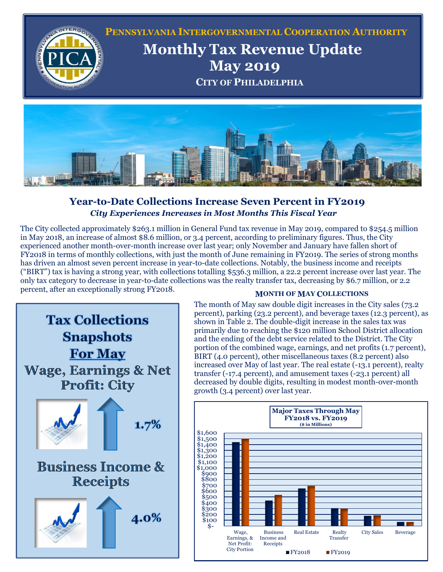



## **Year-to-Date Collections Increase Seven Percent in FY2019**  *City Experiences Increases in Most Months This Fiscal Year*

The City collected approximately \$263.1 million in General Fund tax revenue in May 2019, compared to \$254.5 million in May 2018, an increase of almost \$8.6 million, or 3.4 percent, according to preliminary figures. Thus, the City experienced another month-over-month increase over last year; only November and January have fallen short of FY2018 in terms of monthly collections, with just the month of June remaining in FY2019. The series of strong months has driven an almost seven percent increase in year-to-date collections. Notably, the business income and receipts ("BIRT") tax is having a strong year, with collections totalling \$536.3 million, a 22.2 percent increase over last year. The only tax category to decrease in year-to-date collections was the realty transfer tax, decreasing by \$6.7 million, or 2.2 percent, after an exceptionally strong FY2018. **MONTH OF <sup>M</sup>AY <sup>C</sup>OLLECTIONS**



The month of May saw double digit increases in the City sales (73.2 percent), parking (23.2 percent), and beverage taxes (12.3 percent), as shown in Table 2. The double-digit increase in the sales tax was primarily due to reaching the \$120 million School District allocation and the ending of the debt service related to the District. The City portion of the combined wage, earnings, and net profits (1.7 percent), BIRT (4.0 percent), other miscellaneous taxes (8.2 percent) also increased over May of last year. The real estate (-13.1 percent), realty transfer (-17.4 percent), and amusement taxes (-23.1 percent) all decreased by double digits, resulting in modest month-over-month growth (3.4 percent) over last year.